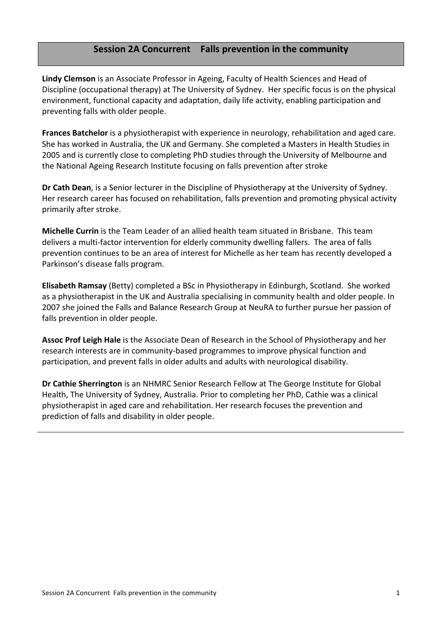# **Session'2A'Concurrent Falls'prevention'in'the'community**

**Lindy Clemson** is an Associate Professor in Ageing, Faculty of Health Sciences and Head of Discipline (occupational therapy) at The University of Sydney. Her specific focus is on the physical environment, functional capacity and adaptation, daily life activity, enabling participation and preventing falls with older people.

**Frances Batchelor** is a physiotherapist with experience in neurology, rehabilitation and aged care. She has worked in Australia, the UK and Germany. She completed a Masters in Health Studies in 2005 and is currently close to completing PhD studies through the University of Melbourne and the National Ageing Research Institute focusing on falls prevention after stroke

**Dr Cath Dean**, is a Senior lecturer in the Discipline of Physiotherapy at the University of Sydney. Her research career has focused on rehabilitation, falls prevention and promoting physical activity primarily after stroke.

**Michelle Currin** is the Team Leader of an allied health team situated in Brisbane. This team delivers a multi-factor intervention for elderly community dwelling fallers. The area of falls prevention continues to be an area of interest for Michelle as her team has recently developed a Parkinson's disease falls program.

**Elisabeth Ramsay** (Betty) completed a BSc in Physiotherapy in Edinburgh, Scotland. She worked as a physiotherapist in the UK and Australia specialising in community health and older people. In 2007 she joined the Falls and Balance Research Group at NeuRA to further pursue her passion of falls prevention in older people.

**Assoc Prof Leigh Hale** is the Associate Dean of Research in the School of Physiotherapy and her research interests are in community-based programmes to improve physical function and participation, and prevent falls in older adults and adults with neurological disability.

**Dr Cathie Sherrington** is an NHMRC Senior Research Fellow at The George Institute for Global Health, The University of Sydney, Australia. Prior to completing her PhD, Cathie was a clinical physiotherapist in aged care and rehabilitation. Her research focuses the prevention and prediction of falls and disability in older people.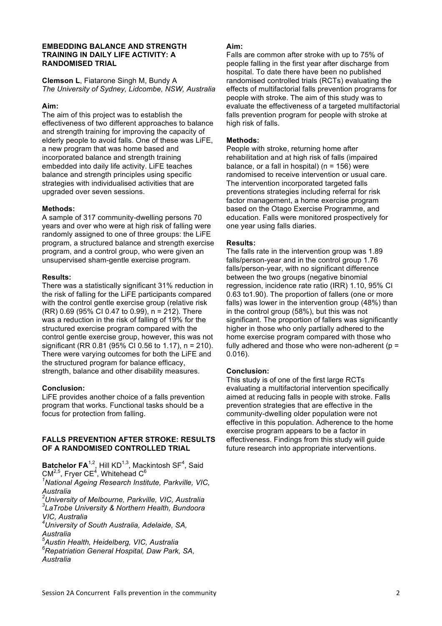#### **EMBEDDING BALANCE AND STRENGTH TRAINING IN DAILY LIFE ACTIVITY: A RANDOMISED TRIAL**

**Clemson L**, Fiatarone Singh M, Bundy A *The University of Sydney, Lidcombe, NSW, Australia*

### **Aim:**

The aim of this project was to establish the effectiveness of two different approaches to balance and strength training for improving the capacity of elderly people to avoid falls. One of these was LiFE, a new program that was home based and incorporated balance and strength training embedded into daily life activity. LiFE teaches balance and strength principles using specific strategies with individualised activities that are upgraded over seven sessions.

# **Methods:**

A sample of 317 community-dwelling persons 70 years and over who were at high risk of falling were randomly assigned to one of three groups: the LiFE program, a structured balance and strength exercise program, and a control group, who were given an unsupervised sham-gentle exercise program.

#### **Results:**

There was a statistically significant 31% reduction in the risk of falling for the LiFE participants compared with the control gentle exercise group (relative risk (RR) 0.69 (95% CI 0.47 to 0.99), n = 212). There was a reduction in the risk of falling of 19% for the structured exercise program compared with the control gentle exercise group, however, this was not significant (RR 0.81 (95% CI 0.56 to 1.17), n = 210). There were varying outcomes for both the LiFE and the structured program for balance efficacy, strength, balance and other disability measures.

#### **Conclusion:**

LiFE provides another choice of a falls prevention program that works. Functional tasks should be a focus for protection from falling.

#### **FALLS PREVENTION AFTER STROKE: RESULTS OF A RANDOMISED CONTROLLED TRIAL**

**Batchelor FA**<sup>1,2</sup>, Hill KD<sup>1,3</sup>, Mackintosh SF<sup>4</sup>, Said CM<sup>2,5</sup>, Fryer CE<sup>4</sup>, Whitehead C<sup>6</sup>

*1 National Ageing Research Institute, Parkville, VIC,* 

*Australia 2 University of Melbourne, Parkville, VIC, Australia 3 LaTrobe University & Northern Health, Bundoora VIC, Australia*

*4 University of South Australia, Adelaide, SA, Australia* 

*5 Austin Health, Heidelberg, VIC, Australia 6 Repatriation General Hospital, Daw Park, SA,* 

*Australia*

# **Aim:**

Falls are common after stroke with up to 75% of people falling in the first year after discharge from hospital. To date there have been no published randomised controlled trials (RCTs) evaluating the effects of multifactorial falls prevention programs for people with stroke. The aim of this study was to evaluate the effectiveness of a targeted multifactorial falls prevention program for people with stroke at high risk of falls.

### **Methods:**

People with stroke, returning home after rehabilitation and at high risk of falls (impaired balance, or a fall in hospital) ( $n = 156$ ) were randomised to receive intervention or usual care. The intervention incorporated targeted falls preventions strategies including referral for risk factor management, a home exercise program based on the Otago Exercise Programme, and education. Falls were monitored prospectively for one year using falls diaries.

# **Results:**

The falls rate in the intervention group was 1.89 falls/person-year and in the control group 1.76 falls/person-year, with no significant difference between the two groups (negative binomial regression, incidence rate ratio (IRR) 1.10, 95% CI 0.63 to1.90). The proportion of fallers (one or more falls) was lower in the intervention group (48%) than in the control group (58%), but this was not significant. The proportion of fallers was significantly higher in those who only partially adhered to the home exercise program compared with those who fully adhered and those who were non-adherent ( $p =$ 0.016).

# **Conclusion:**

This study is of one of the first large RCTs evaluating a multifactorial intervention specifically aimed at reducing falls in people with stroke. Falls prevention strategies that are effective in the community-dwelling older population were not effective in this population. Adherence to the home exercise program appears to be a factor in effectiveness. Findings from this study will guide future research into appropriate interventions.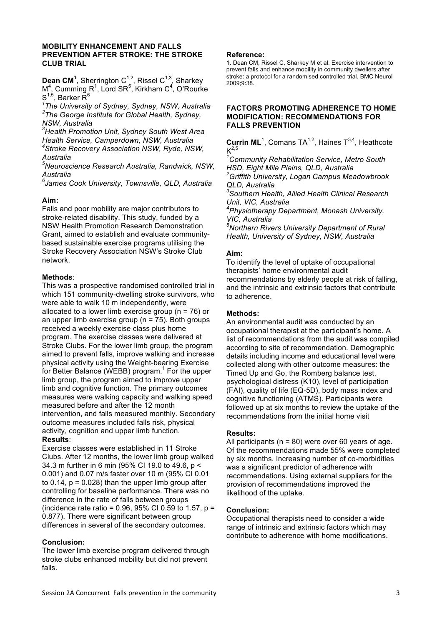#### **MOBILITY ENHANCEMENT AND FALLS PREVENTION AFTER STROKE: THE STROKE CLUB TRIAL**

**Dean CM<sup>1</sup>**, Sherrington C<sup>1,2</sup>, Rissel C<sup>1,3</sup>, Sharkey  $M<sup>4</sup>$ , Cumming R<sup>1</sup>, Lord SR<sup>5</sup>, Kirkham C<sup>4</sup>, O'Rourke  $\mathsf{S}^{1,5},$  Barker  $\mathsf{\tilde{R}}^6$ 

*1 The University of Sydney, Sydney, NSW, Australia 2 The George Institute for Global Health, Sydney, NSW, Australia*

*3 Health Promotion Unit, Sydney South West Area Health Service, Camperdown, NSW, Australia 4 Stroke Recovery Association NSW, Ryde, NSW, Australia*

*5 Neuroscience Research Australia, Randwick, NSW,* 

*Australia 6 James Cook University, Townsville, QLD, Australia*

# **Aim:**

Falls and poor mobility are major contributors to stroke-related disability. This study, funded by a NSW Health Promotion Research Demonstration Grant, aimed to establish and evaluate communitybased sustainable exercise programs utilising the Stroke Recovery Association NSW's Stroke Club network.

# **Methods**:

This was a prospective randomised controlled trial in which 151 community-dwelling stroke survivors, who were able to walk 10 m independently, were allocated to a lower limb exercise group (n = 76) or an upper limb exercise group ( $n = 75$ ). Both groups received a weekly exercise class plus home program. The exercise classes were delivered at Stroke Clubs. For the lower limb group, the program aimed to prevent falls, improve walking and increase physical activity using the Weight-bearing Exercise for Better Balance (WEBB) program.<sup>1</sup> For the upper limb group, the program aimed to improve upper limb and cognitive function. The primary outcomes measures were walking capacity and walking speed measured before and after the 12 month intervention, and falls measured monthly. Secondary outcome measures included falls risk, physical activity, cognition and upper limb function. **Results**:

Exercise classes were established in 11 Stroke Clubs. After 12 months, the lower limb group walked 34.3 m further in 6 min (95% CI 19.0 to 49.6, p < 0.001) and 0.07 m/s faster over 10 m (95% CI 0.01 to  $0.14$ ,  $p = 0.028$ ) than the upper limb group after controlling for baseline performance. There was no difference in the rate of falls between groups (incidence rate ratio =  $0.96$ ,  $95\%$  CI 0.59 to 1.57, p = 0.877). There were significant between group differences in several of the secondary outcomes.

# **Conclusion:**

The lower limb exercise program delivered through stroke clubs enhanced mobility but did not prevent falls.

#### **Reference:**

1. Dean CM, Rissel C, Sharkey M et al. Exercise intervention to prevent falls and enhance mobility in community dwellers after stroke: a protocol for a randomised controlled trial. BMC Neurol 2009;9:38.

#### **FACTORS PROMOTING ADHERENCE TO HOME MODIFICATION: RECOMMENDATIONS FOR FALLS PREVENTION**

**Currin ML**<sup>1</sup>, Comans TA<sup>1,2</sup>, Haines  $T^{3,4}$ , Heathcote  $K^{2,5}$ 

*1 Community Rehabilitation Service, Metro South HSD, Eight Mile Plains, QLD, Australia 2 Griffith University, Logan Campus Meadowbrook QLD, Australia*

*3 Southern Health, Allied Health Clinical Research Unit, VIC, Australia*

*4 Physiotherapy Department, Monash University, VIC, Australia*

*5 Northern Rivers University Department of Rural Health, University of Sydney, NSW, Australia*

#### **Aim:**

To identify the level of uptake of occupational therapists' home environmental audit recommendations by elderly people at risk of falling, and the intrinsic and extrinsic factors that contribute to adherence.

# **Methods:**

An environmental audit was conducted by an occupational therapist at the participant's home. A list of recommendations from the audit was compiled according to site of recommendation. Demographic details including income and educational level were collected along with other outcome measures: the Timed Up and Go, the Romberg balance test, psychological distress (K10), level of participation (FAI), quality of life (EQ-5D), body mass index and cognitive functioning (ATMS). Participants were followed up at six months to review the uptake of the recommendations from the initial home visit

#### **Results:**

All participants ( $n = 80$ ) were over 60 years of age. Of the recommendations made 55% were completed by six months. Increasing number of co-morbidities was a significant predictor of adherence with recommendations. Using external suppliers for the provision of recommendations improved the likelihood of the uptake.

#### **Conclusion:**

Occupational therapists need to consider a wide range of intrinsic and extrinsic factors which may contribute to adherence with home modifications.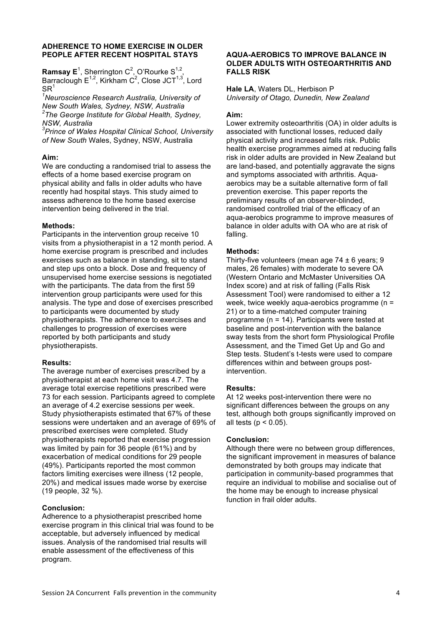#### **ADHERENCE TO HOME EXERCISE IN OLDER PEOPLE AFTER RECENT HOSPITAL STAYS**

**Ramsay E**<sup>1</sup>, Sherrington C<sup>2</sup>, O'Rourke S<sup>1,2</sup>, Barraclough  $E^{1,2}$ , Kirkham  $C^2$ , Close JCT<sup>1,3</sup>, Lord  $SR<sup>1</sup>$ 

*1 Neuroscience Research Australia, University of New South Wales, Sydney, NSW, Australia 2 The George Institute for Global Health, Sydney, NSW, Australia*

*3 Prince of Wales Hospital Clinical School, University of New South* Wales, Sydney, NSW, Australia

# **Aim:**

We are conducting a randomised trial to assess the effects of a home based exercise program on physical ability and falls in older adults who have recently had hospital stays. This study aimed to assess adherence to the home based exercise intervention being delivered in the trial.

# **Methods:**

Participants in the intervention group receive 10 visits from a physiotherapist in a 12 month period. A home exercise program is prescribed and includes exercises such as balance in standing, sit to stand and step ups onto a block. Dose and frequency of unsupervised home exercise sessions is negotiated with the participants. The data from the first 59 intervention group participants were used for this analysis. The type and dose of exercises prescribed to participants were documented by study physiotherapists. The adherence to exercises and challenges to progression of exercises were reported by both participants and study physiotherapists.

#### **Results:**

The average number of exercises prescribed by a physiotherapist at each home visit was 4.7. The average total exercise repetitions prescribed were 73 for each session. Participants agreed to complete an average of 4.2 exercise sessions per week. Study physiotherapists estimated that 67% of these sessions were undertaken and an average of 69% of prescribed exercises were completed. Study physiotherapists reported that exercise progression was limited by pain for 36 people (61%) and by exacerbation of medical conditions for 29 people (49%). Participants reported the most common factors limiting exercises were illness (12 people, 20%) and medical issues made worse by exercise (19 people, 32 %).

# **Conclusion:**

Adherence to a physiotherapist prescribed home exercise program in this clinical trial was found to be acceptable, but adversely influenced by medical issues. Analysis of the randomised trial results will enable assessment of the effectiveness of this program.

# **AQUA-AEROBICS TO IMPROVE BALANCE IN OLDER ADULTS WITH OSTEOARTHRITIS AND FALLS RISK**

**Hale LA**, Waters DL, Herbison P *University of Otago, Dunedin, New Zealand*

### **Aim:**

Lower extremity osteoarthritis (OA) in older adults is associated with functional losses, reduced daily physical activity and increased falls risk. Public health exercise programmes aimed at reducing falls risk in older adults are provided in New Zealand but are land-based, and potentially aggravate the signs and symptoms associated with arthritis. Aquaaerobics may be a suitable alternative form of fall prevention exercise. This paper reports the preliminary results of an observer-blinded, randomised controlled trial of the efficacy of an aqua-aerobics programme to improve measures of balance in older adults with OA who are at risk of falling.

# **Methods:**

Thirty-five volunteers (mean age  $74 \pm 6$  years; 9 males, 26 females) with moderate to severe OA (Western Ontario and McMaster Universities OA Index score) and at risk of falling (Falls Risk Assessment Tool) were randomised to either a 12 week, twice weekly aqua-aerobics programme (n = 21) or to a time-matched computer training programme (n = 14). Participants were tested at baseline and post-intervention with the balance sway tests from the short form Physiological Profile Assessment, and the Timed Get Up and Go and Step tests. Student's t-tests were used to compare differences within and between groups postintervention.

# **Results:**

At 12 weeks post-intervention there were no significant differences between the groups on any test, although both groups significantly improved on all tests ( $p < 0.05$ ).

#### **Conclusion:**

Although there were no between group differences, the significant improvement in measures of balance demonstrated by both groups may indicate that participation in community-based programmes that require an individual to mobilise and socialise out of the home may be enough to increase physical function in frail older adults.